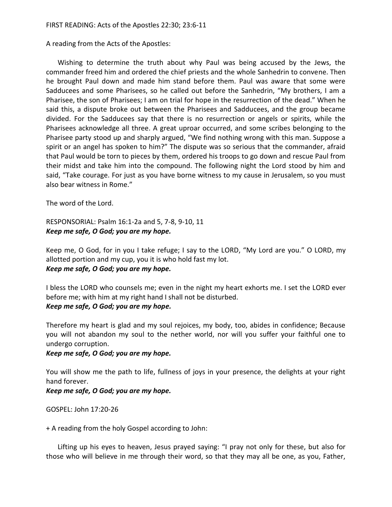A reading from the Acts of the Apostles:

Wishing to determine the truth about why Paul was being accused by the Jews, the commander freed him and ordered the chief priests and the whole Sanhedrin to convene. Then he brought Paul down and made him stand before them. Paul was aware that some were Sadducees and some Pharisees, so he called out before the Sanhedrin, "My brothers, I am a Pharisee, the son of Pharisees; I am on trial for hope in the resurrection of the dead." When he said this, a dispute broke out between the Pharisees and Sadducees, and the group became divided. For the Sadducees say that there is no resurrection or angels or spirits, while the Pharisees acknowledge all three. A great uproar occurred, and some scribes belonging to the Pharisee party stood up and sharply argued, "We find nothing wrong with this man. Suppose a spirit or an angel has spoken to him?" The dispute was so serious that the commander, afraid that Paul would be torn to pieces by them, ordered his troops to go down and rescue Paul from their midst and take him into the compound. The following night the Lord stood by him and said, "Take courage. For just as you have borne witness to my cause in Jerusalem, so you must also bear witness in Rome."

The word of the Lord.

RESPONSORIAL: Psalm 16:1-2a and 5, 7-8, 9-10, 11 *Keep me safe, O God; you are my hope.*

Keep me, O God, for in you I take refuge; I say to the LORD, "My Lord are you." O LORD, my allotted portion and my cup, you it is who hold fast my lot. *Keep me safe, O God; you are my hope.*

I bless the LORD who counsels me; even in the night my heart exhorts me. I set the LORD ever before me; with him at my right hand I shall not be disturbed. *Keep me safe, O God; you are my hope.*

Therefore my heart is glad and my soul rejoices, my body, too, abides in confidence; Because you will not abandon my soul to the nether world, nor will you suffer your faithful one to undergo corruption.

*Keep me safe, O God; you are my hope.*

You will show me the path to life, fullness of joys in your presence, the delights at your right hand forever.

*Keep me safe, O God; you are my hope.*

GOSPEL: John 17:20-26

+ A reading from the holy Gospel according to John:

Lifting up his eyes to heaven, Jesus prayed saying: "I pray not only for these, but also for those who will believe in me through their word, so that they may all be one, as you, Father,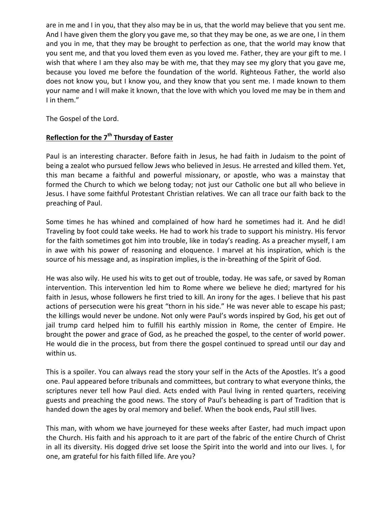are in me and I in you, that they also may be in us, that the world may believe that you sent me. And I have given them the glory you gave me, so that they may be one, as we are one, I in them and you in me, that they may be brought to perfection as one, that the world may know that you sent me, and that you loved them even as you loved me. Father, they are your gift to me. I wish that where I am they also may be with me, that they may see my glory that you gave me, because you loved me before the foundation of the world. Righteous Father, the world also does not know you, but I know you, and they know that you sent me. I made known to them your name and I will make it known, that the love with which you loved me may be in them and I in them."

The Gospel of the Lord.

## **Reflection for the 7th Thursday of Easter**

Paul is an interesting character. Before faith in Jesus, he had faith in Judaism to the point of being a zealot who pursued fellow Jews who believed in Jesus. He arrested and killed them. Yet, this man became a faithful and powerful missionary, or apostle, who was a mainstay that formed the Church to which we belong today; not just our Catholic one but all who believe in Jesus. I have some faithful Protestant Christian relatives. We can all trace our faith back to the preaching of Paul.

Some times he has whined and complained of how hard he sometimes had it. And he did! Traveling by foot could take weeks. He had to work his trade to support his ministry. His fervor for the faith sometimes got him into trouble, like in today's reading. As a preacher myself, I am in awe with his power of reasoning and eloquence. I marvel at his inspiration, which is the source of his message and, as inspiration implies, is the in-breathing of the Spirit of God.

He was also wily. He used his wits to get out of trouble, today. He was safe, or saved by Roman intervention. This intervention led him to Rome where we believe he died; martyred for his faith in Jesus, whose followers he first tried to kill. An irony for the ages. I believe that his past actions of persecution were his great "thorn in his side." He was never able to escape his past; the killings would never be undone. Not only were Paul's words inspired by God, his get out of jail trump card helped him to fulfill his earthly mission in Rome, the center of Empire. He brought the power and grace of God, as he preached the gospel, to the center of world power. He would die in the process, but from there the gospel continued to spread until our day and within us.

This is a spoiler. You can always read the story your self in the Acts of the Apostles. It's a good one. Paul appeared before tribunals and committees, but contrary to what everyone thinks, the scriptures never tell how Paul died. Acts ended with Paul living in rented quarters, receiving guests and preaching the good news. The story of Paul's beheading is part of Tradition that is handed down the ages by oral memory and belief. When the book ends, Paul still lives.

This man, with whom we have journeyed for these weeks after Easter, had much impact upon the Church. His faith and his approach to it are part of the fabric of the entire Church of Christ in all its diversity. His dogged drive set loose the Spirit into the world and into our lives. I, for one, am grateful for his faith filled life. Are you?